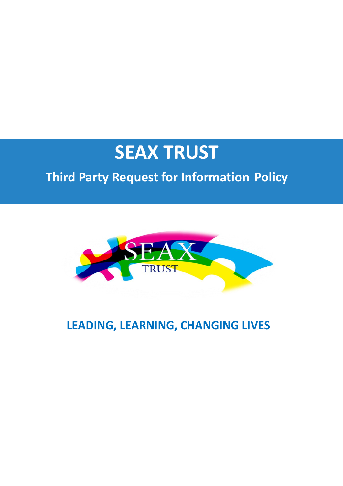# **SEAX TRUST**

# **Third Party Request for Information Policy**



# **LEADING, LEARNING, CHANGING LIVES**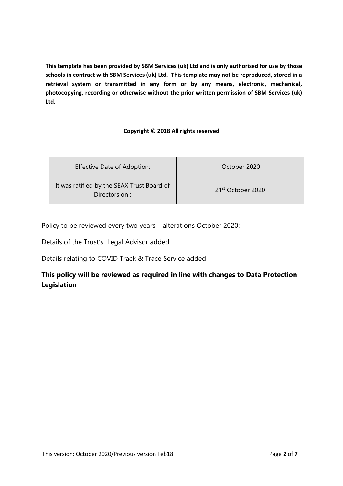**This template has been provided by SBM Services (uk) Ltd and is only authorised for use by those schools in contract with SBM Services (uk) Ltd. This template may not be reproduced, stored in a retrieval system or transmitted in any form or by any means, electronic, mechanical, photocopying, recording or otherwise without the prior written permission of SBM Services (uk) Ltd.**

#### **Copyright © 2018 All rights reserved**

| <b>Effective Date of Adoption:</b>                          | October 2020                  |
|-------------------------------------------------------------|-------------------------------|
| It was ratified by the SEAX Trust Board of<br>Directors on: | 21 <sup>st</sup> October 2020 |

Policy to be reviewed every two years – alterations October 2020:

Details of the Trust's Legal Advisor added

Details relating to COVID Track & Trace Service added

#### **This policy will be reviewed as required in line with changes to Data Protection Legislation**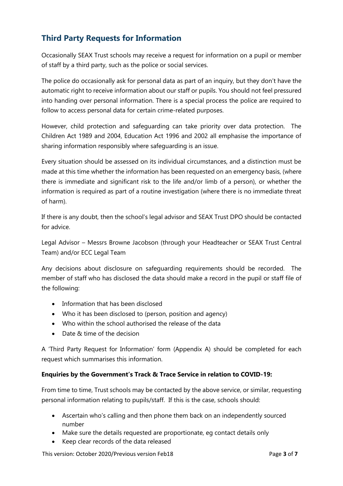# **Third Party Requests for Information**

Occasionally SEAX Trust schools may receive a request for information on a pupil or member of staff by a third party, such as the police or social services.

The police do occasionally ask for personal data as part of an inquiry, but they don't have the automatic right to receive information about our staff or pupils. You should not feel pressured into handing over personal information. There is a special process the police are required to follow to access personal data for certain crime-related purposes.

However, child protection and safeguarding can take priority over data protection. The Children Act 1989 and 2004, Education Act 1996 and 2002 all emphasise the importance of sharing information responsibly where safeguarding is an issue.

Every situation should be assessed on its individual circumstances, and a distinction must be made at this time whether the information has been requested on an emergency basis, (where there is immediate and significant risk to the life and/or limb of a person), or whether the information is required as part of a routine investigation (where there is no immediate threat of harm).

If there is any doubt, then the school's legal advisor and SEAX Trust DPO should be contacted for advice.

Legal Advisor – Messrs Browne Jacobson (through your Headteacher or SEAX Trust Central Team) and/or ECC Legal Team

Any decisions about disclosure on safeguarding requirements should be recorded. The member of staff who has disclosed the data should make a record in the pupil or staff file of the following:

- Information that has been disclosed
- Who it has been disclosed to (person, position and agency)
- Who within the school authorised the release of the data
- Date & time of the decision

A 'Third Party Request for Information' form (Appendix A) should be completed for each request which summarises this information.

#### **Enquiries by the Government's Track & Trace Service in relation to COVID-19:**

From time to time, Trust schools may be contacted by the above service, or similar, requesting personal information relating to pupils/staff. If this is the case, schools should:

- Ascertain who's calling and then phone them back on an independently sourced number
- Make sure the details requested are proportionate, eg contact details only
- Keep clear records of the data released

This version: October 2020/Previous version Feb18 **Page 1 and Alleman Page 3 of 7** and Page 3 of 7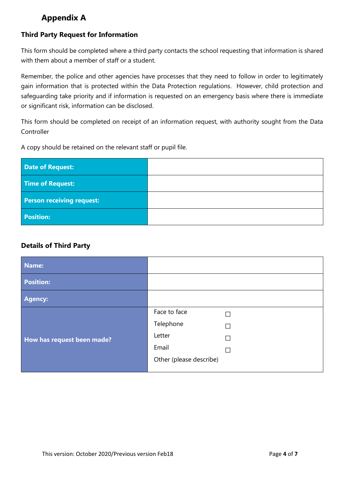### **Appendix A**

#### **Third Party Request for Information**

This form should be completed where a third party contacts the school requesting that information is shared with them about a member of staff or a student.

Remember, the police and other agencies have processes that they need to follow in order to legitimately gain information that is protected within the Data Protection regulations. However, child protection and safeguarding take priority and if information is requested on an emergency basis where there is immediate or significant risk, information can be disclosed.

This form should be completed on receipt of an information request, with authority sought from the Data Controller

A copy should be retained on the relevant staff or pupil file.

| <b>Date of Request:</b>          |  |
|----------------------------------|--|
| Time of Request:                 |  |
| <b>Person receiving request:</b> |  |
| <b>Position:</b>                 |  |

#### **Details of Third Party**

| Name:                      |                         |  |
|----------------------------|-------------------------|--|
| <b>Position:</b>           |                         |  |
| <b>Agency:</b>             |                         |  |
| How has request been made? | Face to face            |  |
|                            | Telephone               |  |
|                            | Letter                  |  |
|                            | Email                   |  |
|                            | Other (please describe) |  |
|                            |                         |  |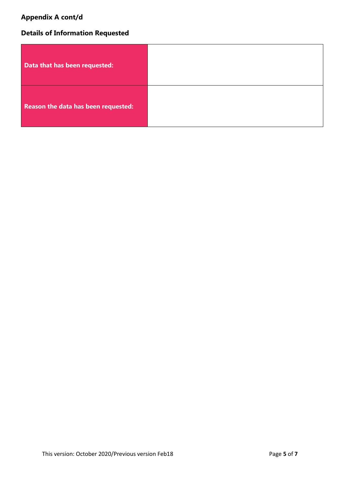# **Appendix A cont/d**

# **Details of Information Requested**

| Data that has been requested:       |  |
|-------------------------------------|--|
| Reason the data has been requested: |  |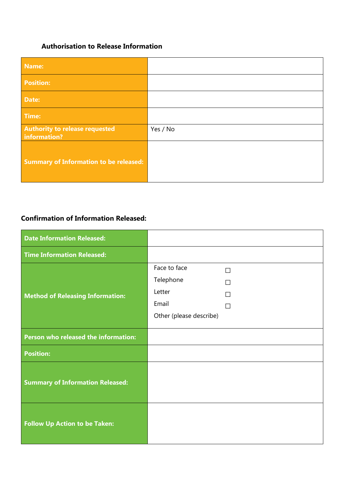### **Authorisation to Release Information**

| Name:                                                 |          |
|-------------------------------------------------------|----------|
| <b>Position:</b>                                      |          |
| Date:                                                 |          |
| Time:                                                 |          |
| <b>Authority to release requested</b><br>information? | Yes / No |
| <b>Summary of Information to be released:</b>         |          |

#### **Confirmation of Information Released:**

| <b>Date Information Released:</b>       |                         |   |
|-----------------------------------------|-------------------------|---|
| <b>Time Information Released:</b>       |                         |   |
|                                         | Face to face            | П |
|                                         | Telephone               |   |
| <b>Method of Releasing Information:</b> | Letter                  | П |
|                                         | Email                   | П |
|                                         | Other (please describe) |   |
|                                         |                         |   |
| Person who released the information:    |                         |   |
| <b>Position:</b>                        |                         |   |
|                                         |                         |   |
| <b>Summary of Information Released:</b> |                         |   |
|                                         |                         |   |
|                                         |                         |   |
| <b>Follow Up Action to be Taken:</b>    |                         |   |
|                                         |                         |   |